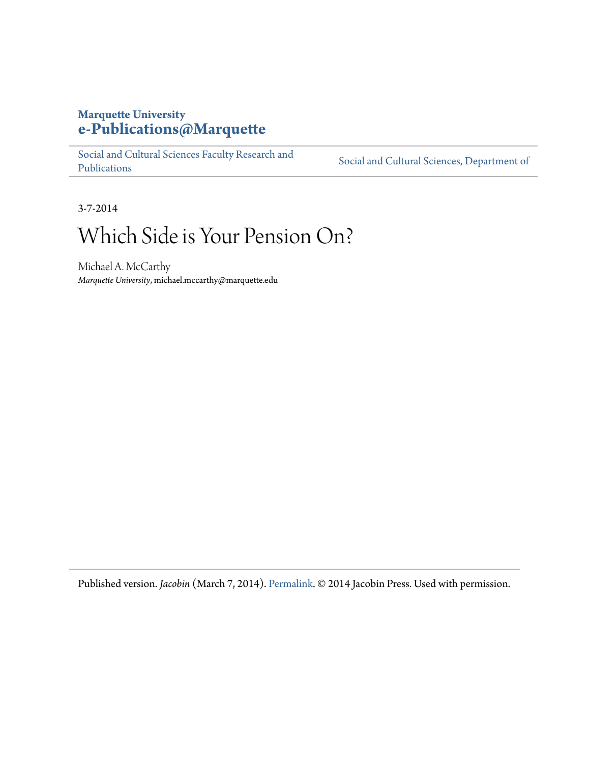## **Marquette University [e-Publications@Marquette](https://epublications.marquette.edu)**

[Social and Cultural Sciences Faculty Research and](https://epublications.marquette.edu/socs_fac) [Publications](https://epublications.marquette.edu/socs_fac)

[Social and Cultural Sciences, Department of](https://epublications.marquette.edu/socs)

3-7-2014

# Which Side is Your Pension On?

Michael A. McCarthy *Marquette University*, michael.mccarthy@marquette.edu

Published version. *Jacobin* (March 7, 2014). [Permalink.](https://www.jacobinmag.com/2014/03/which-side-is-your-pension-on/) © 2014 Jacobin Press. Used with permission.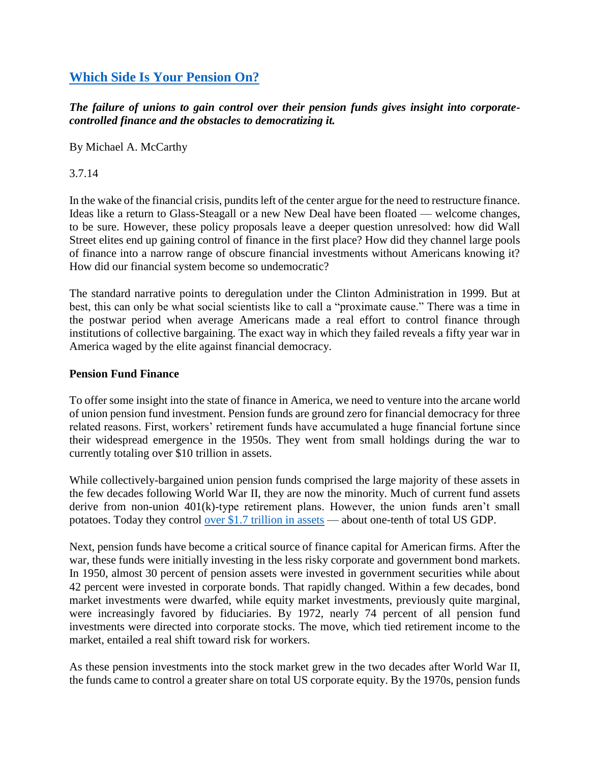### **[Which Side Is Your Pension On?](https://www.jacobinmag.com/2014/03/which-side-is-your-pension-on/)**

*The failure of unions to gain control over their pension funds gives insight into corporatecontrolled finance and the obstacles to democratizing it.*

By Michael A. McCarthy

3.7.14

In the wake of the financial crisis, pundits left of the center argue for the need to restructure finance. Ideas like a return to Glass-Steagall or a new New Deal have been floated — welcome changes, to be sure. However, these policy proposals leave a deeper question unresolved: how did Wall Street elites end up gaining control of finance in the first place? How did they channel large pools of finance into a narrow range of obscure financial investments without Americans knowing it? How did our financial system become so undemocratic?

The standard narrative points to deregulation under the Clinton Administration in 1999. But at best, this can only be what social scientists like to call a "proximate cause." There was a time in the postwar period when average Americans made a real effort to control finance through institutions of collective bargaining. The exact way in which they failed reveals a fifty year war in America waged by the elite against financial democracy.

#### **Pension Fund Finance**

To offer some insight into the state of finance in America, we need to venture into the arcane world of union pension fund investment. Pension funds are ground zero for financial democracy for three related reasons. First, workers' retirement funds have accumulated a huge financial fortune since their widespread emergence in the 1950s. They went from small holdings during the war to currently totaling over \$10 trillion in assets.

While collectively-bargained union pension funds comprised the large majority of these assets in the few decades following World War II, they are now the minority. Much of current fund assets derive from non-union 401(k)-type retirement plans. However, the union funds aren't small potatoes. Today they control over \$1.7 [trillion in assets](http://www.dol.gov/ebsa/5500main.html) — about one-tenth of total US GDP.

Next, pension funds have become a critical source of finance capital for American firms. After the war, these funds were initially investing in the less risky corporate and government bond markets. In 1950, almost 30 percent of pension assets were invested in government securities while about 42 percent were invested in corporate bonds. That rapidly changed. Within a few decades, bond market investments were dwarfed, while equity market investments, previously quite marginal, were increasingly favored by fiduciaries. By 1972, nearly 74 percent of all pension fund investments were directed into corporate stocks. The move, which tied retirement income to the market, entailed a real shift toward risk for workers.

As these pension investments into the stock market grew in the two decades after World War II, the funds came to control a greater share on total US corporate equity. By the 1970s, pension funds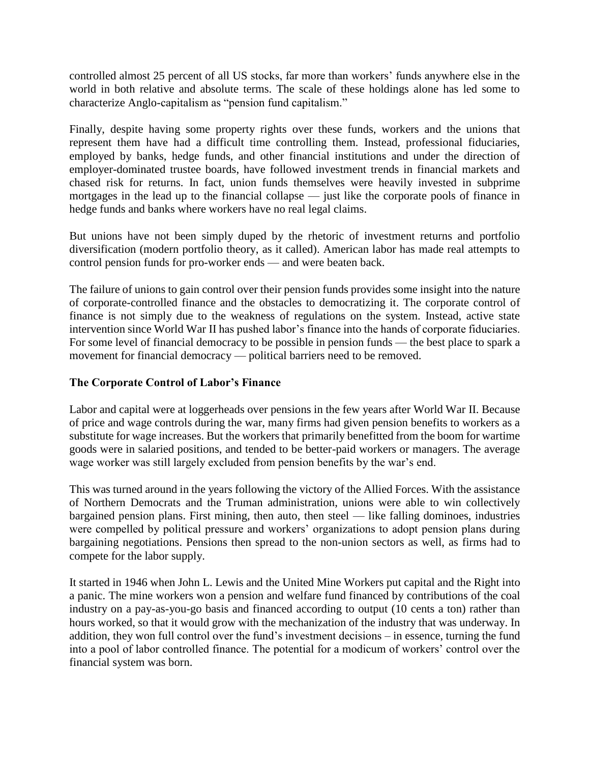controlled almost 25 percent of all US stocks, far more than workers' funds anywhere else in the world in both relative and absolute terms. The scale of these holdings alone has led some to characterize Anglo-capitalism as "pension fund capitalism."

Finally, despite having some property rights over these funds, workers and the unions that represent them have had a difficult time controlling them. Instead, professional fiduciaries, employed by banks, hedge funds, and other financial institutions and under the direction of employer-dominated trustee boards, have followed investment trends in financial markets and chased risk for returns. In fact, union funds themselves were heavily invested in subprime mortgages in the lead up to the financial collapse — just like the corporate pools of finance in hedge funds and banks where workers have no real legal claims.

But unions have not been simply duped by the rhetoric of investment returns and portfolio diversification (modern portfolio theory, as it called). American labor has made real attempts to control pension funds for pro-worker ends — and were beaten back.

The failure of unions to gain control over their pension funds provides some insight into the nature of corporate-controlled finance and the obstacles to democratizing it. The corporate control of finance is not simply due to the weakness of regulations on the system. Instead, active state intervention since World War II has pushed labor's finance into the hands of corporate fiduciaries. For some level of financial democracy to be possible in pension funds — the best place to spark a movement for financial democracy — political barriers need to be removed.

#### **The Corporate Control of Labor's Finance**

Labor and capital were at loggerheads over pensions in the few years after World War II. Because of price and wage controls during the war, many firms had given pension benefits to workers as a substitute for wage increases. But the workers that primarily benefitted from the boom for wartime goods were in salaried positions, and tended to be better-paid workers or managers. The average wage worker was still largely excluded from pension benefits by the war's end.

This was turned around in the years following the victory of the Allied Forces. With the assistance of Northern Democrats and the Truman administration, unions were able to win collectively bargained pension plans. First mining, then auto, then steel — like falling dominoes, industries were compelled by political pressure and workers' organizations to adopt pension plans during bargaining negotiations. Pensions then spread to the non-union sectors as well, as firms had to compete for the labor supply.

It started in 1946 when John L. Lewis and the United Mine Workers put capital and the Right into a panic. The mine workers won a pension and welfare fund financed by contributions of the coal industry on a pay-as-you-go basis and financed according to output (10 cents a ton) rather than hours worked, so that it would grow with the mechanization of the industry that was underway. In addition, they won full control over the fund's investment decisions – in essence, turning the fund into a pool of labor controlled finance. The potential for a modicum of workers' control over the financial system was born.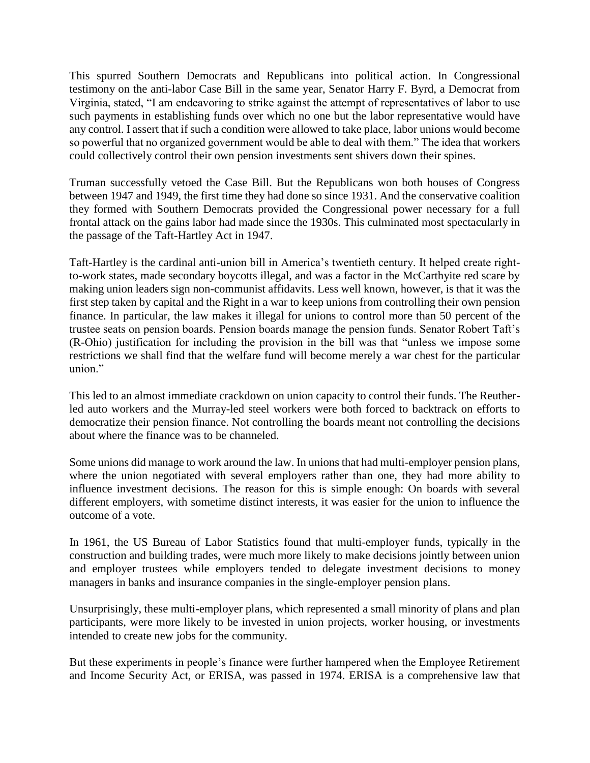This spurred Southern Democrats and Republicans into political action. In Congressional testimony on the anti-labor Case Bill in the same year, Senator Harry F. Byrd, a Democrat from Virginia, stated, "I am endeavoring to strike against the attempt of representatives of labor to use such payments in establishing funds over which no one but the labor representative would have any control. I assert that if such a condition were allowed to take place, labor unions would become so powerful that no organized government would be able to deal with them." The idea that workers could collectively control their own pension investments sent shivers down their spines.

Truman successfully vetoed the Case Bill. But the Republicans won both houses of Congress between 1947 and 1949, the first time they had done so since 1931. And the conservative coalition they formed with Southern Democrats provided the Congressional power necessary for a full frontal attack on the gains labor had made since the 1930s. This culminated most spectacularly in the passage of the Taft-Hartley Act in 1947.

Taft-Hartley is the cardinal anti-union bill in America's twentieth century. It helped create rightto-work states, made secondary boycotts illegal, and was a factor in the McCarthyite red scare by making union leaders sign non-communist affidavits. Less well known, however, is that it was the first step taken by capital and the Right in a war to keep unions from controlling their own pension finance. In particular, the law makes it illegal for unions to control more than 50 percent of the trustee seats on pension boards. Pension boards manage the pension funds. Senator Robert Taft's (R-Ohio) justification for including the provision in the bill was that "unless we impose some restrictions we shall find that the welfare fund will become merely a war chest for the particular union."

This led to an almost immediate crackdown on union capacity to control their funds. The Reutherled auto workers and the Murray-led steel workers were both forced to backtrack on efforts to democratize their pension finance. Not controlling the boards meant not controlling the decisions about where the finance was to be channeled.

Some unions did manage to work around the law. In unions that had multi-employer pension plans, where the union negotiated with several employers rather than one, they had more ability to influence investment decisions. The reason for this is simple enough: On boards with several different employers, with sometime distinct interests, it was easier for the union to influence the outcome of a vote.

In 1961, the US Bureau of Labor Statistics found that multi-employer funds, typically in the construction and building trades, were much more likely to make decisions jointly between union and employer trustees while employers tended to delegate investment decisions to money managers in banks and insurance companies in the single-employer pension plans.

Unsurprisingly, these multi-employer plans, which represented a small minority of plans and plan participants, were more likely to be invested in union projects, worker housing, or investments intended to create new jobs for the community.

But these experiments in people's finance were further hampered when the Employee Retirement and Income Security Act, or ERISA, was passed in 1974. ERISA is a comprehensive law that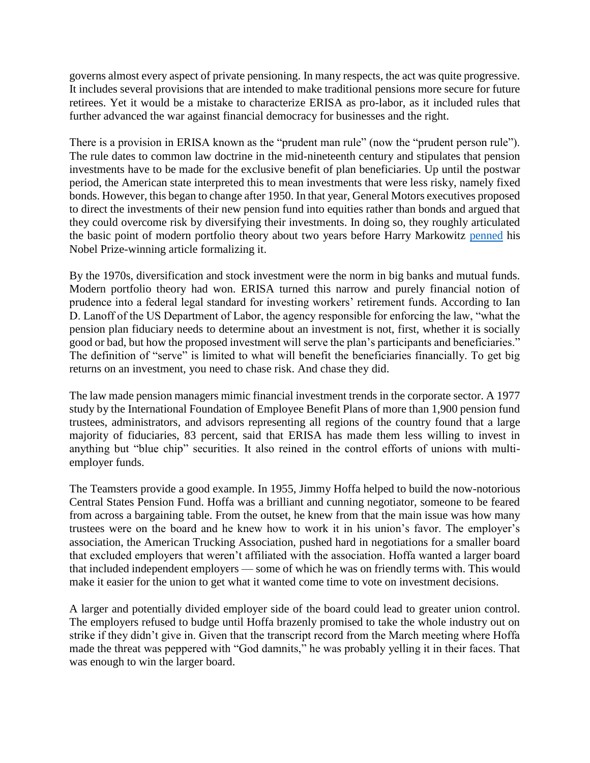governs almost every aspect of private pensioning. In many respects, the act was quite progressive. It includes several provisions that are intended to make traditional pensions more secure for future retirees. Yet it would be a mistake to characterize ERISA as pro-labor, as it included rules that further advanced the war against financial democracy for businesses and the right.

There is a provision in ERISA known as the "prudent man rule" (now the "prudent person rule"). The rule dates to common law doctrine in the mid-nineteenth century and stipulates that pension investments have to be made for the exclusive benefit of plan beneficiaries. Up until the postwar period, the American state interpreted this to mean investments that were less risky, namely fixed bonds. However, this began to change after 1950. In that year, General Motors executives proposed to direct the investments of their new pension fund into equities rather than bonds and argued that they could overcome risk by diversifying their investments. In doing so, they roughly articulated the basic point of modern portfolio theory about two years before Harry Markowitz [penned](http://portfoliotheory.co.uk/) his Nobel Prize-winning article formalizing it.

By the 1970s, diversification and stock investment were the norm in big banks and mutual funds. Modern portfolio theory had won. ERISA turned this narrow and purely financial notion of prudence into a federal legal standard for investing workers' retirement funds. According to Ian D. Lanoff of the US Department of Labor, the agency responsible for enforcing the law, "what the pension plan fiduciary needs to determine about an investment is not, first, whether it is socially good or bad, but how the proposed investment will serve the plan's participants and beneficiaries." The definition of "serve" is limited to what will benefit the beneficiaries financially. To get big returns on an investment, you need to chase risk. And chase they did.

The law made pension managers mimic financial investment trends in the corporate sector. A 1977 study by the International Foundation of Employee Benefit Plans of more than 1,900 pension fund trustees, administrators, and advisors representing all regions of the country found that a large majority of fiduciaries, 83 percent, said that ERISA has made them less willing to invest in anything but "blue chip" securities. It also reined in the control efforts of unions with multiemployer funds.

The Teamsters provide a good example. In 1955, Jimmy Hoffa helped to build the now-notorious Central States Pension Fund. Hoffa was a brilliant and cunning negotiator, someone to be feared from across a bargaining table. From the outset, he knew from that the main issue was how many trustees were on the board and he knew how to work it in his union's favor. The employer's association, the American Trucking Association, pushed hard in negotiations for a smaller board that excluded employers that weren't affiliated with the association. Hoffa wanted a larger board that included independent employers — some of which he was on friendly terms with. This would make it easier for the union to get what it wanted come time to vote on investment decisions.

A larger and potentially divided employer side of the board could lead to greater union control. The employers refused to budge until Hoffa brazenly promised to take the whole industry out on strike if they didn't give in. Given that the transcript record from the March meeting where Hoffa made the threat was peppered with "God damnits," he was probably yelling it in their faces. That was enough to win the larger board.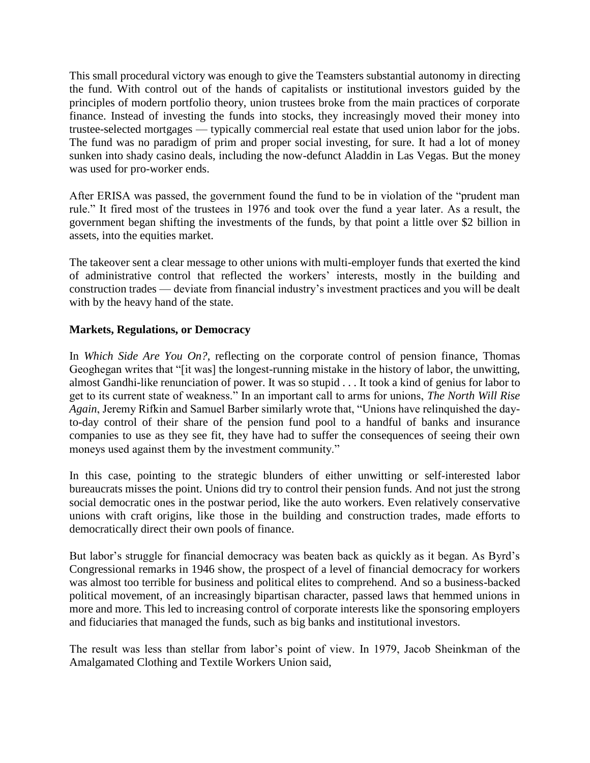This small procedural victory was enough to give the Teamsters substantial autonomy in directing the fund. With control out of the hands of capitalists or institutional investors guided by the principles of modern portfolio theory, union trustees broke from the main practices of corporate finance. Instead of investing the funds into stocks, they increasingly moved their money into trustee-selected mortgages — typically commercial real estate that used union labor for the jobs. The fund was no paradigm of prim and proper social investing, for sure. It had a lot of money sunken into shady casino deals, including the now-defunct Aladdin in Las Vegas. But the money was used for pro-worker ends.

After ERISA was passed, the government found the fund to be in violation of the "prudent man rule." It fired most of the trustees in 1976 and took over the fund a year later. As a result, the government began shifting the investments of the funds, by that point a little over \$2 billion in assets, into the equities market.

The takeover sent a clear message to other unions with multi-employer funds that exerted the kind of administrative control that reflected the workers' interests, mostly in the building and construction trades — deviate from financial industry's investment practices and you will be dealt with by the heavy hand of the state.

#### **Markets, Regulations, or Democracy**

In *Which Side Are You On?*, reflecting on the corporate control of pension finance, Thomas Geoghegan writes that "[it was] the longest-running mistake in the history of labor, the unwitting, almost Gandhi-like renunciation of power. It was so stupid . . . It took a kind of genius for labor to get to its current state of weakness." In an important call to arms for unions, *The North Will Rise Again*, Jeremy Rifkin and Samuel Barber similarly wrote that, "Unions have relinquished the dayto-day control of their share of the pension fund pool to a handful of banks and insurance companies to use as they see fit, they have had to suffer the consequences of seeing their own moneys used against them by the investment community."

In this case, pointing to the strategic blunders of either unwitting or self-interested labor bureaucrats misses the point. Unions did try to control their pension funds. And not just the strong social democratic ones in the postwar period, like the auto workers. Even relatively conservative unions with craft origins, like those in the building and construction trades, made efforts to democratically direct their own pools of finance.

But labor's struggle for financial democracy was beaten back as quickly as it began. As Byrd's Congressional remarks in 1946 show, the prospect of a level of financial democracy for workers was almost too terrible for business and political elites to comprehend. And so a business-backed political movement, of an increasingly bipartisan character, passed laws that hemmed unions in more and more. This led to increasing control of corporate interests like the sponsoring employers and fiduciaries that managed the funds, such as big banks and institutional investors.

The result was less than stellar from labor's point of view. In 1979, Jacob Sheinkman of the Amalgamated Clothing and Textile Workers Union said,